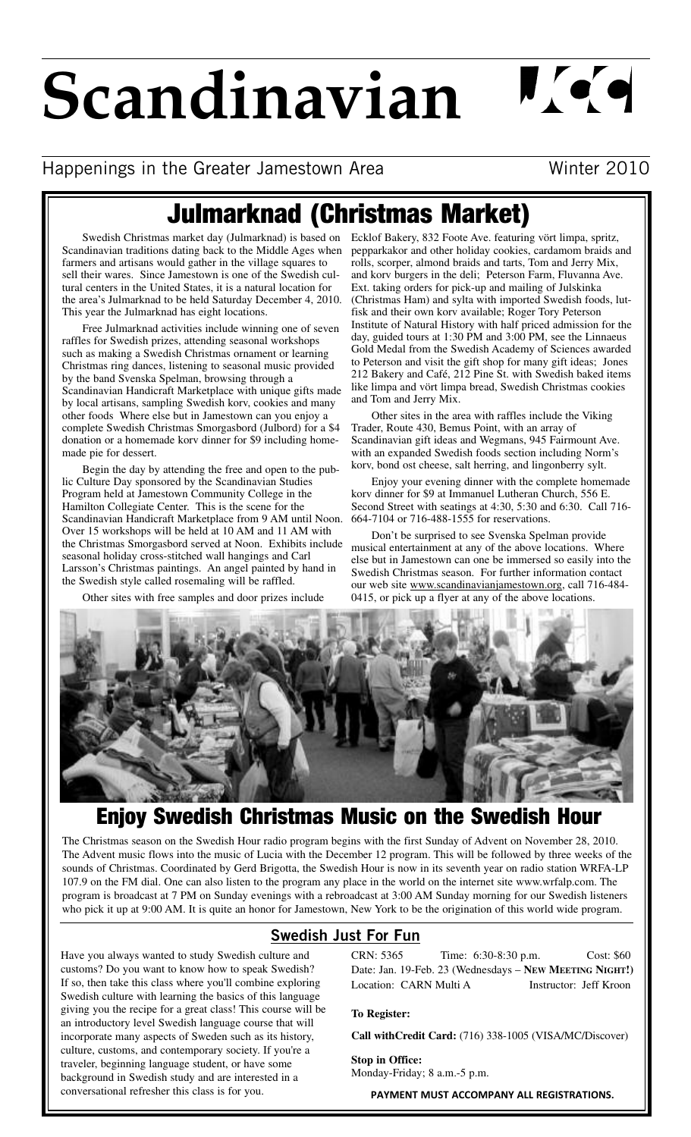# **Scandinavian**

 $\mathbf{U}$  or  $\mathbf{C}$ 

### Happenings in the Greater Jamestown Area Minter 2010

## **Julmarknad (Christmas Market)**

Scandinavian traditions dating back to the Middle Ages when farmers and artisans would gather in the village squares to sell their wares. Since Jamestown is one of the Swedish cultural centers in the United States, it is a natural location for the area's Julmarknad to be held Saturday December 4, 2010. This year the Julmarknad has eight locations.

Free Julmarknad activities include winning one of seven raffles for Swedish prizes, attending seasonal workshops such as making a Swedish Christmas ornament or learning Christmas ring dances, listening to seasonal music provided by the band Svenska Spelman, browsing through a Scandinavian Handicraft Marketplace with unique gifts made by local artisans, sampling Swedish korv, cookies and many other foods Where else but in Jamestown can you enjoy a complete Swedish Christmas Smorgasbord (Julbord) for a \$4 donation or a homemade korv dinner for \$9 including homemade pie for dessert.

Begin the day by attending the free and open to the public Culture Day sponsored by the Scandinavian Studies Program held at Jamestown Community College in the Hamilton Collegiate Center. This is the scene for the Scandinavian Handicraft Marketplace from 9 AM until Noon. Over 15 workshops will be held at 10 AM and 11 AM with the Christmas Smorgasbord served at Noon. Exhibits include seasonal holiday cross-stitched wall hangings and Carl Larsson's Christmas paintings. An angel painted by hand in the Swedish style called rosemaling will be raffled.

Other sites with free samples and door prizes include

Swedish Christmas market day (Julmarknad) is based on Ecklof Bakery, 832 Foote Ave. featuring vört limpa, spritz, pepparkakor and other holiday cookies, cardamom braids and rolls, scorper, almond braids and tarts, Tom and Jerry Mix, and korv burgers in the deli; Peterson Farm, Fluvanna Ave. Ext. taking orders for pick-up and mailing of Julskinka (Christmas Ham) and sylta with imported Swedish foods, lutfisk and their own korv available; Roger Tory Peterson Institute of Natural History with half priced admission for the day, guided tours at 1:30 PM and 3:00 PM, see the Linnaeus Gold Medal from the Swedish Academy of Sciences awarded to Peterson and visit the gift shop for many gift ideas; Jones 212 Bakery and Café, 212 Pine St. with Swedish baked items like limpa and vört limpa bread, Swedish Christmas cookies and Tom and Jerry Mix.

> Other sites in the area with raffles include the Viking Trader, Route 430, Bemus Point, with an array of Scandinavian gift ideas and Wegmans, 945 Fairmount Ave. with an expanded Swedish foods section including Norm's korv, bond ost cheese, salt herring, and lingonberry sylt.

Enjoy your evening dinner with the complete homemade korv dinner for \$9 at Immanuel Lutheran Church, 556 E. Second Street with seatings at 4:30, 5:30 and 6:30. Call 716- 664-7104 or 716-488-1555 for reservations.

Don't be surprised to see Svenska Spelman provide musical entertainment at any of the above locations. Where else but in Jamestown can one be immersed so easily into the Swedish Christmas season. For further information contact our web site www.scandinavianjamestown.org, call 716-484- 0415, or pick up a flyer at any of the above locations.



## **Enjoy Swedish Christmas Music on the Swedish Hour**

The Christmas season on the Swedish Hour radio program begins with the first Sunday of Advent on November 28, 2010. The Advent music flows into the music of Lucia with the December 12 program. This will be followed by three weeks of the sounds of Christmas. Coordinated by Gerd Brigotta, the Swedish Hour is now in its seventh year on radio station WRFA-LP 107.9 on the FM dial. One can also listen to the program any place in the world on the internet site www.wrfalp.com. The program is broadcast at 7 PM on Sunday evenings with a rebroadcast at 3:00 AM Sunday morning for our Swedish listeners who pick it up at 9:00 AM. It is quite an honor for Jamestown, New York to be the origination of this world wide program.

#### **Swedish Just For Fun**

Have you always wanted to study Swedish culture and customs? Do you want to know how to speak Swedish? If so, then take this class where you'll combine exploring Swedish culture with learning the basics of this language giving you the recipe for a great class! This course will be an introductory level Swedish language course that will incorporate many aspects of Sweden such as its history, culture, customs, and contemporary society. If you're a traveler, beginning language student, or have some background in Swedish study and are interested in a conversational refresher this class is for you.

CRN: 5365 Time: 6:30-8:30 p.m. Cost: \$60 Date: Jan. 19-Feb. 23 (Wednesdays – **NEW MEETING NIGHT!)** Location: CARN Multi A Instructor: Jeff Kroon

**To Register:**

**Call withCredit Card:** (716) 338-1005 (VISA/MC/Discover)

**Stop in Office:** Monday-Friday; 8 a.m.-5 p.m.

**PAYMENT MUST ACCOMPANY ALL REGISTRATIONS.**